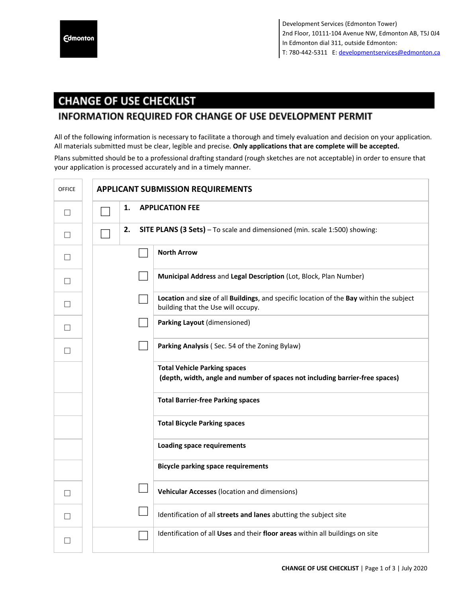## **CHANGE OF USE CHECKLIST**

## **INFORMATION REQUIRED FOR CHANGE OF USE DEVELOPMENT PERMIT**

All of the following information is necessary to facilitate a thorough and timely evaluation and decision on your application. All materials submitted must be clear, legible and precise. **Only applications that are complete will be accepted.**

Plans submitted should be to a professional drafting standard (rough sketches are not acceptable) in order to ensure that your application is processed accurately and in a timely manner.

| <b>OFFICE</b> | <b>APPLICANT SUBMISSION REQUIREMENTS</b>                                                                                      |  |  |  |
|---------------|-------------------------------------------------------------------------------------------------------------------------------|--|--|--|
| $\perp$       | <b>APPLICATION FEE</b><br>1.                                                                                                  |  |  |  |
| $\perp$       | 2.<br>SITE PLANS (3 Sets) - To scale and dimensioned (min. scale 1:500) showing:                                              |  |  |  |
| $\perp$       | <b>North Arrow</b>                                                                                                            |  |  |  |
| $\perp$       | Municipal Address and Legal Description (Lot, Block, Plan Number)                                                             |  |  |  |
|               | Location and size of all Buildings, and specific location of the Bay within the subject<br>building that the Use will occupy. |  |  |  |
|               | Parking Layout (dimensioned)                                                                                                  |  |  |  |
|               | Parking Analysis (Sec. 54 of the Zoning Bylaw)                                                                                |  |  |  |
|               | <b>Total Vehicle Parking spaces</b><br>(depth, width, angle and number of spaces not including barrier-free spaces)           |  |  |  |
|               | <b>Total Barrier-free Parking spaces</b>                                                                                      |  |  |  |
|               | <b>Total Bicycle Parking spaces</b>                                                                                           |  |  |  |
|               | <b>Loading space requirements</b>                                                                                             |  |  |  |
|               | <b>Bicycle parking space requirements</b>                                                                                     |  |  |  |
| $\mathsf{L}$  | Vehicular Accesses (location and dimensions)                                                                                  |  |  |  |
| $\perp$       | Identification of all streets and lanes abutting the subject site                                                             |  |  |  |
|               | Identification of all Uses and their floor areas within all buildings on site                                                 |  |  |  |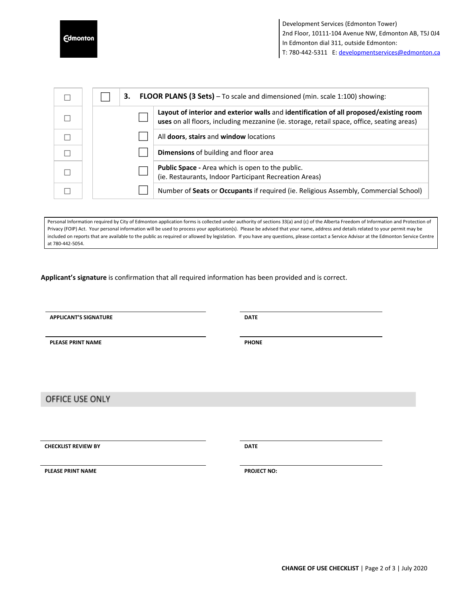**Edmonton** 

|  | <b>FLOOR PLANS (3 Sets)</b> - To scale and dimensioned (min. scale 1:100) showing:<br>3. |                                                                                                                                                                                      |  |
|--|------------------------------------------------------------------------------------------|--------------------------------------------------------------------------------------------------------------------------------------------------------------------------------------|--|
|  |                                                                                          | Layout of interior and exterior walls and identification of all proposed/existing room<br>uses on all floors, including mezzanine (ie. storage, retail space, office, seating areas) |  |
|  |                                                                                          | All doors, stairs and window locations                                                                                                                                               |  |
|  |                                                                                          | <b>Dimensions</b> of building and floor area                                                                                                                                         |  |
|  |                                                                                          | <b>Public Space</b> - Area which is open to the public.<br>(ie. Restaurants, Indoor Participant Recreation Areas)                                                                    |  |
|  |                                                                                          | Number of Seats or Occupants if required (ie. Religious Assembly, Commercial School)                                                                                                 |  |

Personal Information required by City of Edmonton application forms is collected under authority of sections 33(a) and (c) of the Alberta Freedom of Information and Protection of Privacy (FOIP) Act. Your personal information will be used to process your application(s). Please be advised that your name, address and details related to your permit may be included on reports that are available to the public as required or allowed by legislation. If you have any questions, please contact a Service Advisor at the Edmonton Service Centre at 780-442-5054.

**Applicant's signature** is confirmation that all required information has been provided and is correct.

**APPLICANT'S SIGNATURE DATE**

**PLEASE PRINT NAME PHONE**

OFFICE USE ONLY

**CHECKLIST REVIEW BY DATE**

**PLEASE PRINT NAME PROJECT NO:**